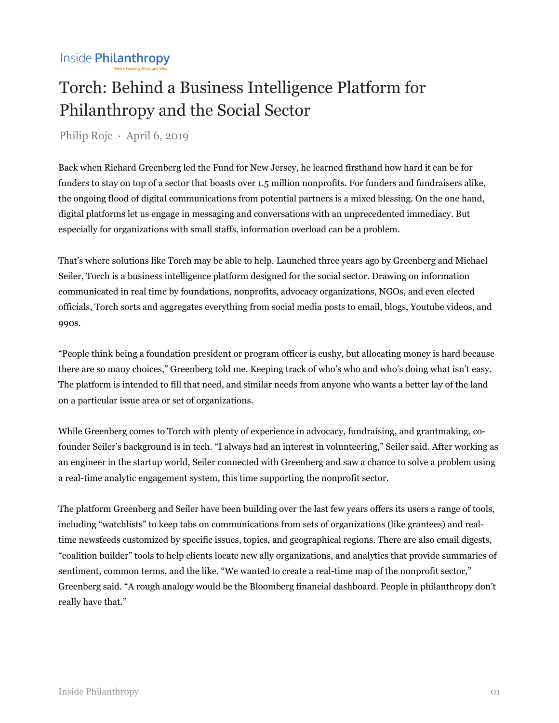## Torch: Behind a Business Intelligence Platform for Philanthropy and the Social Sector

Philip Rojc · April 6, 2019

Back when Richard Greenberg led the Fund for New Jersey, he learned firsthand how hard it can be for funders to stay on top of a sector that boasts over 1.5 million nonprofits. For funders and fundraisers alike, the ongoing flood of digital communications from potential partners is a mixed blessing. On the one hand, digital platforms let us engage in messaging and conversations with an unprecedented immediacy. But especially for organizations with small staffs, information overload can be a problem.

That's where solutions like Torch may be able to help. Launched three years ago by Greenberg and Michael Seiler, Torch is a business intelligence platform designed for the social sector. Drawing on information communicated in real time by foundations, nonprofits, advocacy organizations, NGOs, and even elected officials, Torch sorts and aggregates everything from social media posts to email, blogs, Youtube videos, and 990s.

"People think being a foundation president or program officer is cushy, but allocating money is hard because there are so many choices," Greenberg told me. Keeping track of who's who and who's doing what isn't easy. The platform is intended to fill that need, and similar needs from anyone who wants a better lay of the land on a particular issue area or set of organizations.

While Greenberg comes to Torch with plenty of experience in advocacy, fundraising, and grantmaking, cofounder Seiler's background is in tech. "I always had an interest in volunteering," Seiler said. After working as an engineer in the startup world, Seiler connected with Greenberg and saw a chance to solve a problem using a real-time analytic engagement system, this time supporting the nonprofit sector.

The platform Greenberg and Seiler have been building over the last few years offers its users a range of tools, including "watchlists" to keep tabs on communications from sets of organizations (like grantees) and realtime newsfeeds customized by specific issues, topics, and geographical regions. There are also email digests, "coalition builder" tools to help clients locate new ally organizations, and analytics that provide summaries of sentiment, common terms, and the like. "We wanted to create a real-time map of the nonprofit sector," Greenberg said. "A rough analogy would be the Bloomberg financial dashboard. People in philanthropy don't really have that."